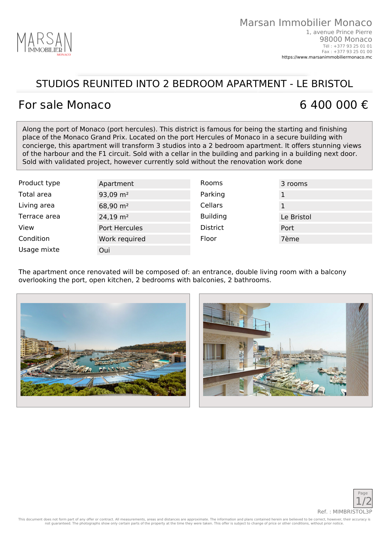

## STUDIOS REUNITED INTO 2 BEDROOM APARTMENT - LE BRISTOL

## For sale Monaco 6 400 000  $\epsilon$

Along the port of Monaco (port hercules). This district is famous for being the starting and finishing place of the Monaco Grand Prix. Located on the port Hercules of Monaco in a secure building with concierge, this apartment will transform 3 studios into a 2 bedroom apartment. It offers stunning views of the harbour and the F1 circuit. Sold with a cellar in the building and parking in a building next door. Sold with validated project, however currently sold without the renovation work done

| Product type | Apartment           | Rooms           | 3 rooms    |
|--------------|---------------------|-----------------|------------|
| Total area   | 93,09 $m2$          | Parking         |            |
| Living area  | 68,90 $m2$          | Cellars         |            |
| Terrace area | $24,19 \text{ m}^2$ | <b>Building</b> | Le Bristol |
| View         | Port Hercules       | <b>District</b> | Port       |
| Condition    | Work required       | Floor           | 7ème       |
| Usage mixte  | Oui                 |                 |            |

The apartment once renovated will be composed of: an entrance, double living room with a balcony overlooking the port, open kitchen, 2 bedrooms with balconies, 2 bathrooms.







This document does not form part of any offer or contract. All measurements, areas and distances are approximate. The information and plans contained herein are believed to be correct, however, their accuracy is not guaranteed. The photographs show only certain parts of the property at the time they were taken. This offer is subject to change of price or other conditions, without prior notice.